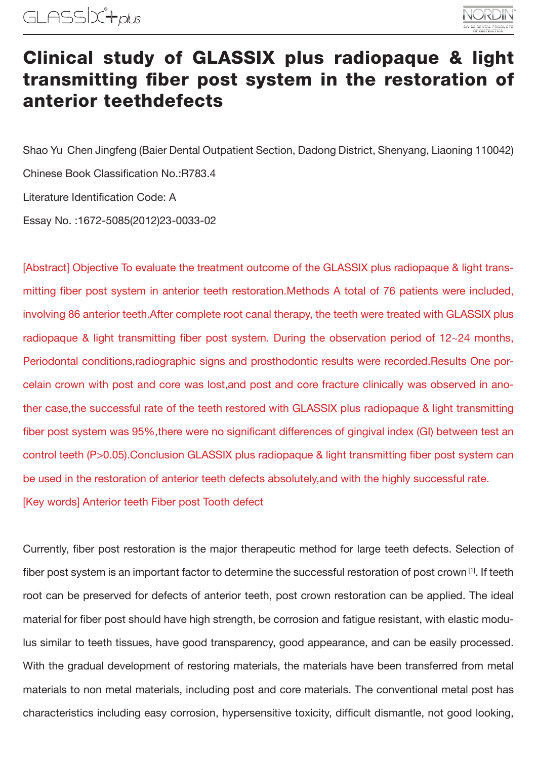

## Clinical study of GLASSIX plus radiopaque & light transmitting fiber post system in the restoration of anterior teethdefects

Shao Yu Chen Jingfeng (Baier Dental Outpatient Section, Dadong District, Shenyang, Liaoning 110042) Chinese Book Classification No.:R783.4 Literature Identification Code: A Essay No. :1672-5085(2012)23-0033-02

[Abstract] Objective To evaluate the treatment outcome of the GLASSIX plus radiopaque & light transmitting fiber post system in anterior teeth restoration.Methods A total of 76 patients were included, involving 86 anterior teeth.After complete root canal therapy, the teeth were treated with GLASSIX plus radiopaque & light transmitting fiber post system. During the observation period of 12~24 months, Periodontal conditions,radiographic signs and prosthodontic results were recorded.Results One porcelain crown with post and core was lost,and post and core fracture clinically was observed in another case,the successful rate of the teeth restored with GLASSIX plus radiopaque & light transmitting fiber post system was 95%,there were no significant differences of gingival index (GI) between test an control teeth (P>0.05).Conclusion GLASSIX plus radiopaque & light transmitting fiber post system can be used in the restoration of anterior teeth defects absolutely,and with the highly successful rate. [Key words] Anterior teeth Fiber post Tooth defect

Currently, fiber post restoration is the major therapeutic method for large teeth defects. Selection of fiber post system is an important factor to determine the successful restoration of post crown [1]. If teeth root can be preserved for defects of anterior teeth, post crown restoration can be applied. The ideal material for fiber post should have high strength, be corrosion and fatigue resistant, with elastic modulus similar to teeth tissues, have good transparency, good appearance, and can be easily processed. With the gradual development of restoring materials, the materials have been transferred from metal materials to non metal materials, including post and core materials. The conventional metal post has characteristics including easy corrosion, hypersensitive toxicity, difficult dismantle, not good looking,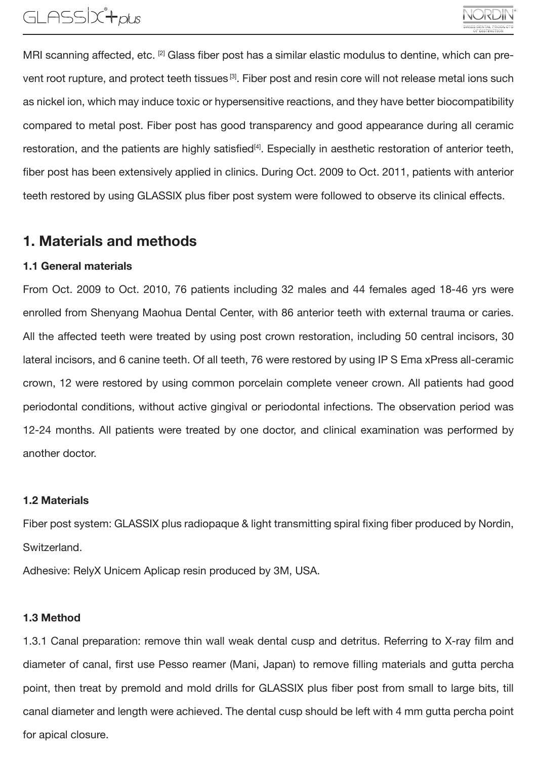## GLASSIX<sup>4</sup>rous

MRI scanning affected, etc. [2] Glass fiber post has a similar elastic modulus to dentine, which can prevent root rupture, and protect teeth tissues<sup>[3]</sup>. Fiber post and resin core will not release metal ions such as nickel ion, which may induce toxic or hypersensitive reactions, and they have better biocompatibility compared to metal post. Fiber post has good transparency and good appearance during all ceramic restoration, and the patients are highly satisfied<sup>[4]</sup>. Especially in aesthetic restoration of anterior teeth, fiber post has been extensively applied in clinics. During Oct. 2009 to Oct. 2011, patients with anterior teeth restored by using GLASSIX plus fiber post system were followed to observe its clinical effects.

### 1. Materials and methods

#### 1.1 General materials

From Oct. 2009 to Oct. 2010, 76 patients including 32 males and 44 females aged 18-46 yrs were enrolled from Shenyang Maohua Dental Center, with 86 anterior teeth with external trauma or caries. All the affected teeth were treated by using post crown restoration, including 50 central incisors, 30 lateral incisors, and 6 canine teeth. Of all teeth, 76 were restored by using IP S Ema xPress all-ceramic crown, 12 were restored by using common porcelain complete veneer crown. All patients had good periodontal conditions, without active gingival or periodontal infections. The observation period was 12-24 months. All patients were treated by one doctor, and clinical examination was performed by another doctor.

#### 1.2 Materials

Fiber post system: GLASSIX plus radiopaque & light transmitting spiral fixing fiber produced by Nordin, Switzerland.

Adhesive: RelyX Unicem Aplicap resin produced by 3M, USA.

#### 1.3 Method

1.3.1 Canal preparation: remove thin wall weak dental cusp and detritus. Referring to X-ray film and diameter of canal, first use Pesso reamer (Mani, Japan) to remove filling materials and gutta percha point, then treat by premold and mold drills for GLASSIX plus fiber post from small to large bits, till canal diameter and length were achieved. The dental cusp should be left with 4 mm gutta percha point for apical closure.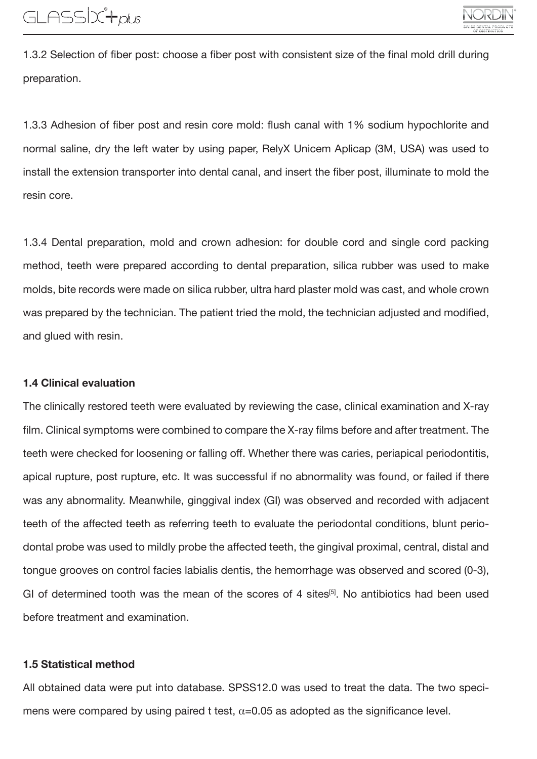1.3.2 Selection of fiber post: choose a fiber post with consistent size of the final mold drill during preparation.

1.3.3 Adhesion of fiber post and resin core mold: flush canal with 1% sodium hypochlorite and normal saline, dry the left water by using paper, RelyX Unicem Aplicap (3M, USA) was used to install the extension transporter into dental canal, and insert the fiber post, illuminate to mold the resin core.

1.3.4 Dental preparation, mold and crown adhesion: for double cord and single cord packing method, teeth were prepared according to dental preparation, silica rubber was used to make molds, bite records were made on silica rubber, ultra hard plaster mold was cast, and whole crown was prepared by the technician. The patient tried the mold, the technician adjusted and modified, and glued with resin.

#### 1.4 Clinical evaluation

The clinically restored teeth were evaluated by reviewing the case, clinical examination and X-ray film. Clinical symptoms were combined to compare the X-ray films before and after treatment. The teeth were checked for loosening or falling off. Whether there was caries, periapical periodontitis, apical rupture, post rupture, etc. It was successful if no abnormality was found, or failed if there was any abnormality. Meanwhile, ginggival index (GI) was observed and recorded with adjacent teeth of the affected teeth as referring teeth to evaluate the periodontal conditions, blunt periodontal probe was used to mildly probe the affected teeth, the gingival proximal, central, distal and tongue grooves on control facies labialis dentis, the hemorrhage was observed and scored (0-3), GI of determined tooth was the mean of the scores of 4 sites<sup>[5]</sup>. No antibiotics had been used before treatment and examination.

#### 1.5 Statistical method

All obtained data were put into database. SPSS12.0 was used to treat the data. The two specimens were compared by using paired t test,  $\alpha$ =0.05 as adopted as the significance level.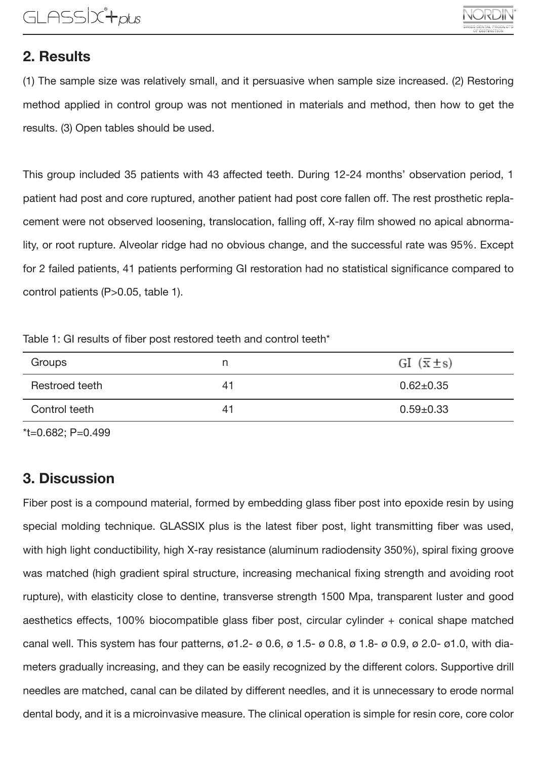### 2. Results

(1) The sample size was relatively small, and it persuasive when sample size increased. (2) Restoring method applied in control group was not mentioned in materials and method, then how to get the results. (3) Open tables should be used.

This group included 35 patients with 43 affected teeth. During 12-24 months' observation period, 1 patient had post and core ruptured, another patient had post core fallen off. The rest prosthetic replacement were not observed loosening, translocation, falling off, X-ray film showed no apical abnormality, or root rupture. Alveolar ridge had no obvious change, and the successful rate was 95%. Except for 2 failed patients, 41 patients performing GI restoration had no statistical significance compared to control patients (P>0.05, table 1).

Table 1: GI results of fiber post restored teeth and control teeth\*

| Groups         |    | GI $(\bar{x} \pm s)$ |
|----------------|----|----------------------|
| Restroed teeth | 41 | $0.62 \pm 0.35$      |
| Control teeth  | 41 | $0.59 + 0.33$        |

\*t=0.682; P=0.499

### 3. Discussion

Fiber post is a compound material, formed by embedding glass fiber post into epoxide resin by using special molding technique. GLASSIX plus is the latest fiber post, light transmitting fiber was used, with high light conductibility, high X-ray resistance (aluminum radiodensity 350%), spiral fixing groove was matched (high gradient spiral structure, increasing mechanical fixing strength and avoiding root rupture), with elasticity close to dentine, transverse strength 1500 Mpa, transparent luster and good aesthetics effects, 100% biocompatible glass fiber post, circular cylinder + conical shape matched canal well. This system has four patterns,  $\varnothing$ 1.2- $\varnothing$  0.6,  $\varnothing$  1.5- $\varnothing$  0.8,  $\varnothing$  1.8- $\varnothing$  0.9,  $\varnothing$  2.0- $\varnothing$ 1.0, with diameters gradually increasing, and they can be easily recognized by the different colors. Supportive drill needles are matched, canal can be dilated by different needles, and it is unnecessary to erode normal dental body, and it is a microinvasive measure. The clinical operation is simple for resin core, core color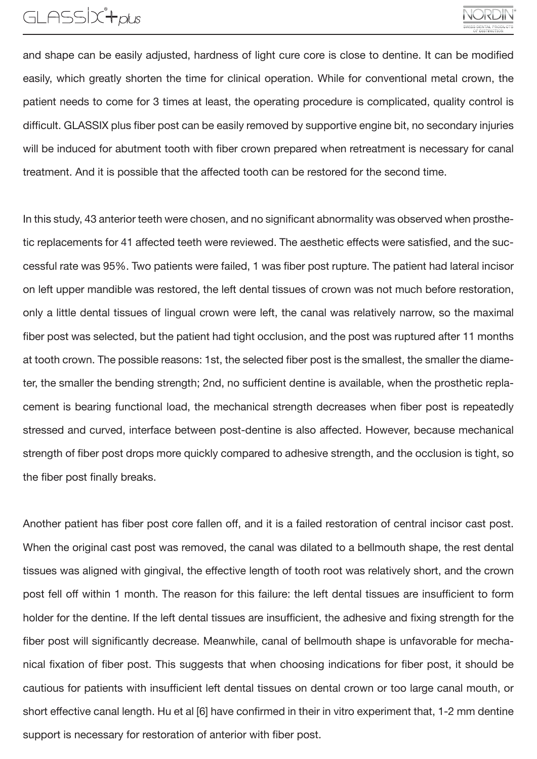## GLASSIX<sup>+</sup>plus

and shape can be easily adjusted, hardness of light cure core is close to dentine. It can be modified easily, which greatly shorten the time for clinical operation. While for conventional metal crown, the patient needs to come for 3 times at least, the operating procedure is complicated, quality control is difficult. GLASSIX plus fiber post can be easily removed by supportive engine bit, no secondary injuries will be induced for abutment tooth with fiber crown prepared when retreatment is necessary for canal treatment. And it is possible that the affected tooth can be restored for the second time.

In this study, 43 anterior teeth were chosen, and no significant abnormality was observed when prosthetic replacements for 41 affected teeth were reviewed. The aesthetic effects were satisfied, and the successful rate was 95%. Two patients were failed, 1 was fiber post rupture. The patient had lateral incisor on left upper mandible was restored, the left dental tissues of crown was not much before restoration, only a little dental tissues of lingual crown were left, the canal was relatively narrow, so the maximal fiber post was selected, but the patient had tight occlusion, and the post was ruptured after 11 months at tooth crown. The possible reasons: 1st, the selected fiber post is the smallest, the smaller the diameter, the smaller the bending strength; 2nd, no sufficient dentine is available, when the prosthetic replacement is bearing functional load, the mechanical strength decreases when fiber post is repeatedly stressed and curved, interface between post-dentine is also affected. However, because mechanical strength of fiber post drops more quickly compared to adhesive strength, and the occlusion is tight, so the fiber post finally breaks.

Another patient has fiber post core fallen off, and it is a failed restoration of central incisor cast post. When the original cast post was removed, the canal was dilated to a bellmouth shape, the rest dental tissues was aligned with gingival, the effective length of tooth root was relatively short, and the crown post fell off within 1 month. The reason for this failure: the left dental tissues are insufficient to form holder for the dentine. If the left dental tissues are insufficient, the adhesive and fixing strength for the fiber post will significantly decrease. Meanwhile, canal of bellmouth shape is unfavorable for mechanical fixation of fiber post. This suggests that when choosing indications for fiber post, it should be cautious for patients with insufficient left dental tissues on dental crown or too large canal mouth, or short effective canal length. Hu et al [6] have confirmed in their in vitro experiment that, 1-2 mm dentine support is necessary for restoration of anterior with fiber post.